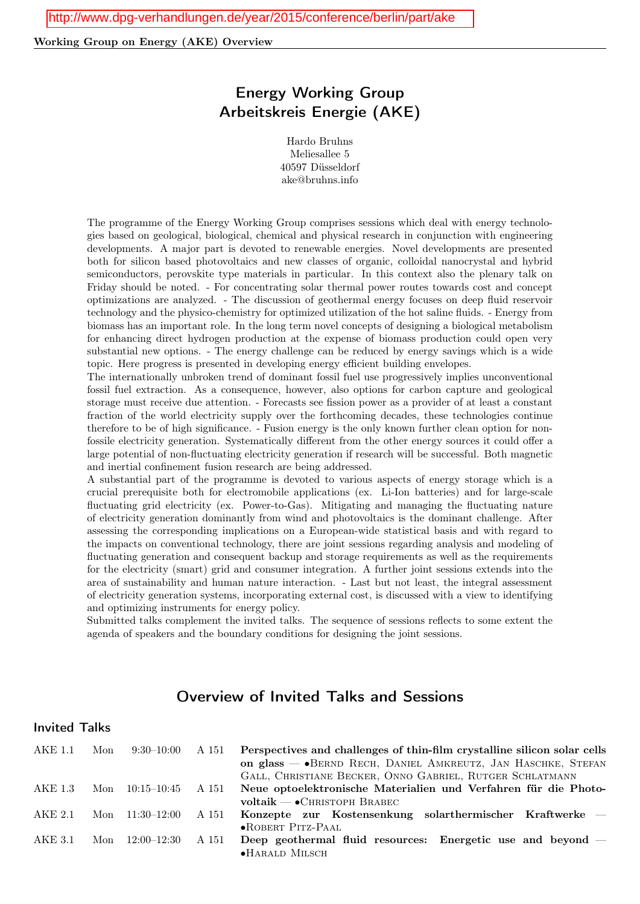### Working Group on Energy (AKE) Overview

# Energy Working Group Arbeitskreis Energie (AKE)

Hardo Bruhns Meliesallee 5 40597 Düsseldorf ake@bruhns.info

The programme of the Energy Working Group comprises sessions which deal with energy technologies based on geological, biological, chemical and physical research in conjunction with engineering developments. A major part is devoted to renewable energies. Novel developments are presented both for silicon based photovoltaics and new classes of organic, colloidal nanocrystal and hybrid semiconductors, perovskite type materials in particular. In this context also the plenary talk on Friday should be noted. - For concentrating solar thermal power routes towards cost and concept optimizations are analyzed. - The discussion of geothermal energy focuses on deep fluid reservoir technology and the physico-chemistry for optimized utilization of the hot saline fluids. - Energy from biomass has an important role. In the long term novel concepts of designing a biological metabolism for enhancing direct hydrogen production at the expense of biomass production could open very substantial new options. - The energy challenge can be reduced by energy savings which is a wide topic. Here progress is presented in developing energy efficient building envelopes.

The internationally unbroken trend of dominant fossil fuel use progressively implies unconventional fossil fuel extraction. As a consequence, however, also options for carbon capture and geological storage must receive due attention. - Forecasts see fission power as a provider of at least a constant fraction of the world electricity supply over the forthcoming decades, these technologies continue therefore to be of high significance. - Fusion energy is the only known further clean option for nonfossile electricity generation. Systematically different from the other energy sources it could offer a large potential of non-fluctuating electricity generation if research will be successful. Both magnetic and inertial confinement fusion research are being addressed.

A substantial part of the programme is devoted to various aspects of energy storage which is a crucial prerequisite both for electromobile applications (ex. Li-Ion batteries) and for large-scale fluctuating grid electricity (ex. Power-to-Gas). Mitigating and managing the fluctuating nature of electricity generation dominantly from wind and photovoltaics is the dominant challenge. After assessing the corresponding implications on a European-wide statistical basis and with regard to the impacts on conventional technology, there are joint sessions regarding analysis and modeling of fluctuating generation and consequent backup and storage requirements as well as the requirements for the electricity (smart) grid and consumer integration. A further joint sessions extends into the area of sustainability and human nature interaction. - Last but not least, the integral assessment of electricity generation systems, incorporating external cost, is discussed with a view to identifying and optimizing instruments for energy policy.

Submitted talks complement the invited talks. The sequence of sessions reflects to some extent the agenda of speakers and the boundary conditions for designing the joint sessions.

# Overview of Invited Talks and Sessions

## Invited Talks

| AKE 1.1 | Mon | $9:30-10:00$      | A 151 | Perspectives and challenges of thin-film crystalline silicon solar cells<br>on glass — • BERND RECH, DANIEL AMKREUTZ, JAN HASCHKE, STEFAN |
|---------|-----|-------------------|-------|-------------------------------------------------------------------------------------------------------------------------------------------|
|         |     |                   |       | GALL, CHRISTIANE BECKER, ONNO GABRIEL, RUTGER SCHLATMANN                                                                                  |
| AKE 1.3 | Mon | 10:15–10:45       | A 151 | Neue optoelektronische Materialien und Verfahren für die Photo-                                                                           |
|         |     |                   |       | $voltaik - \bullet$ CHRISTOPH BRABEC                                                                                                      |
| AKE 2.1 |     | Mon $11:30-12:00$ | A 151 | Konzepte zur Kostensenkung solarthermischer Kraftwerke –                                                                                  |
|         |     |                   |       | $\bullet$ ROBERT PITZ-PAAL                                                                                                                |
| AKE 3.1 | Mon | 12:00–12:30       | A 151 | Deep geothermal fluid resources: Energetic use and beyond –<br>$\bullet$ HARALD MILSCH                                                    |
|         |     |                   |       |                                                                                                                                           |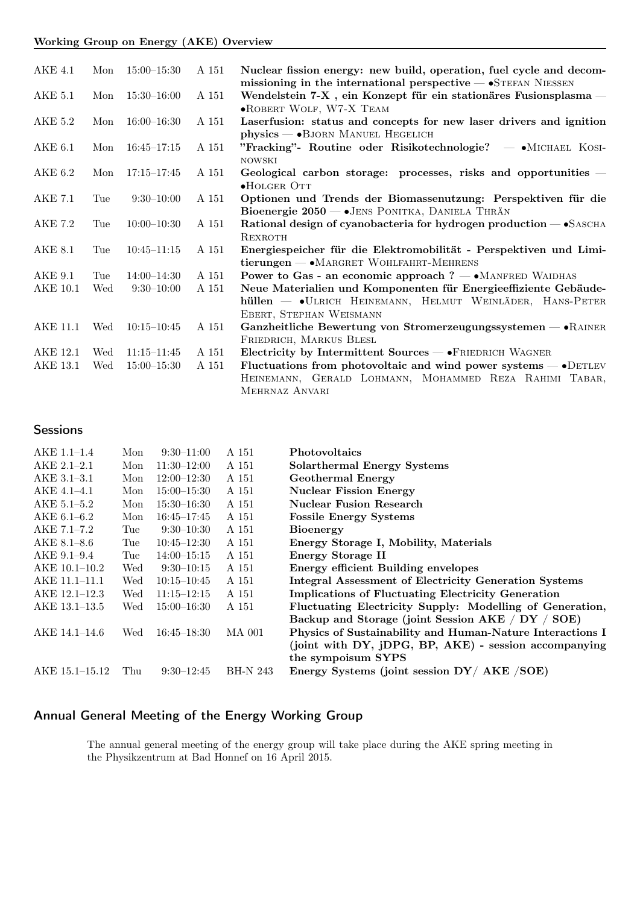### Working Group on Energy (AKE) Overview

| AKE 4.1        | Mon | $15:00 - 15:30$ | A 151 | Nuclear fission energy: new build, operation, fuel cycle and decom-                                                                                              |
|----------------|-----|-----------------|-------|------------------------------------------------------------------------------------------------------------------------------------------------------------------|
| AKE 5.1        | Mon | $15:30 - 16:00$ | A 151 | missioning in the international perspective $\sim$ STEFAN NIESSEN<br>Wendelstein 7-X, ein Konzept für ein stationäres Fusionsplasma -<br>.ROBERT WOLF, W7-X TEAM |
| <b>AKE 5.2</b> | Mon | $16:00 - 16:30$ | A 151 | Laserfusion: status and concepts for new laser drivers and ignition<br>$physics$ $ \bullet$ BJORN MANUEL HEGELICH                                                |
| AKE 6.1        | Mon | $16:45 - 17:15$ | A 151 | "Fracking"- Routine oder Risikotechnologie? - MICHAEL KOSI-<br><b>NOWSKI</b>                                                                                     |
| AKE 6.2        | Mon | $17:15 - 17:45$ | A 151 | Geological carbon storage: processes, risks and opportunities -<br>$\bullet$ HOLGER OTT                                                                          |
| AKE 7.1        | Tue | $9:30-10:00$    | A 151 | Optionen und Trends der Biomassenutzung: Perspektiven für die<br>Bioenergie 2050 - JENS PONITKA, DANIELA THRÄN                                                   |
| AKE 7.2        | Tue | $10:00-10:30$   | A 151 | Rational design of cyanobacteria for hydrogen production - SASCHA<br>REXROTH                                                                                     |
| <b>AKE 8.1</b> | Tue | $10:45 - 11:15$ | A 151 | Energiespeicher für die Elektromobilität - Perspektiven und Limi-<br>$tierungen \longrightarrow MARGRET WOHLFAHRT-MEHRENS$                                       |
| AKE 9.1        | Tue | $14:00 - 14:30$ | A 151 | Power to Gas - an economic approach $? - \cdot$ MANFRED WAIDHAS                                                                                                  |
| AKE 10.1       | Wed | $9:30-10:00$    | A 151 | Neue Materialien und Komponenten für Energieeffiziente Gebäude-                                                                                                  |
|                |     |                 |       | hüllen — •ULRICH HEINEMANN, HELMUT WEINLÄDER, HANS-PETER<br>EBERT, STEPHAN WEISMANN                                                                              |
| AKE 11.1       | Wed | $10:15 - 10:45$ | A 151 | Ganzheitliche Bewertung von Stromerzeugungssystemen $ \bullet$ RAINER<br>FRIEDRICH, MARKUS BLESL                                                                 |
| AKE 12.1       | Wed | $11:15 - 11:45$ | A 151 | Electricity by Intermittent Sources — • FRIEDRICH WAGNER                                                                                                         |
| AKE 13.1       | Wed | $15:00 - 15:30$ | A 151 | Fluctuations from photovoltaic and wind power systems $-$ • DETLEV<br>HEINEMANN, GERALD LOHMANN, MOHAMMED REZA RAHIMI TABAR,<br>MEHRNAZ ANVARI                   |

## **Sessions**

| $AKE 1.1-1.4$   | Mon | $9:30-11:00$    | A 151           | <b>Photovoltaics</b>                                         |
|-----------------|-----|-----------------|-----------------|--------------------------------------------------------------|
| $AKE 2.1 - 2.1$ | Mon | $11:30-12:00$   | A 151           | <b>Solarthermal Energy Systems</b>                           |
| $AKE$ 3.1-3.1   | Mon | $12:00 - 12:30$ | A 151           | <b>Geothermal Energy</b>                                     |
| $AKE$ 4.1-4.1   | Mon | $15:00 - 15:30$ | A 151           | <b>Nuclear Fission Energy</b>                                |
| AKE 5.1–5.2     | Mon | $15:30 - 16:30$ | A 151           | <b>Nuclear Fusion Research</b>                               |
| AKE 6.1–6.2     | Mon | $16:45 - 17:45$ | A 151           | <b>Fossile Energy Systems</b>                                |
| AKE 7.1-7.2     | Tue | $9:30-10:30$    | A 151           | <b>Bioenergy</b>                                             |
| AKE 8.1-8.6     | Tue | $10:45 - 12:30$ | A 151           | Energy Storage I, Mobility, Materials                        |
| AKE 9.1-9.4     | Tue | $14:00 - 15:15$ | A 151           | Energy Storage II                                            |
| $AKE$ 10.1-10.2 | Wed | $9:30-10:15$    | A 151           | <b>Energy efficient Building envelopes</b>                   |
| AKE 11.1-11.1   | Wed | $10:15 - 10:45$ | A 151           | <b>Integral Assessment of Electricity Generation Systems</b> |
| AKE 12.1–12.3   | Wed | $11:15 - 12:15$ | A 151           | <b>Implications of Fluctuating Electricity Generation</b>    |
| AKE 13.1–13.5   | Wed | $15:00 - 16:30$ | A 151           | Fluctuating Electricity Supply: Modelling of Generation,     |
|                 |     |                 |                 | Backup and Storage (joint Session AKE / DY / SOE)            |
| AKE 14.1–14.6   | Wed | $16:45 - 18:30$ | MA 001          | Physics of Sustainability and Human-Nature Interactions I    |
|                 |     |                 |                 | (joint with DY, jDPG, BP, AKE) - session accompanying        |
|                 |     |                 |                 | the sympoisum SYPS                                           |
| AKE 15.1–15.12  | Thu | $9:30-12:45$    | <b>BH-N 243</b> | Energy Systems (joint session DY/ AKE /SOE)                  |

# Annual General Meeting of the Energy Working Group

The annual general meeting of the energy group will take place during the AKE spring meeting in the Physikzentrum at Bad Honnef on 16 April 2015.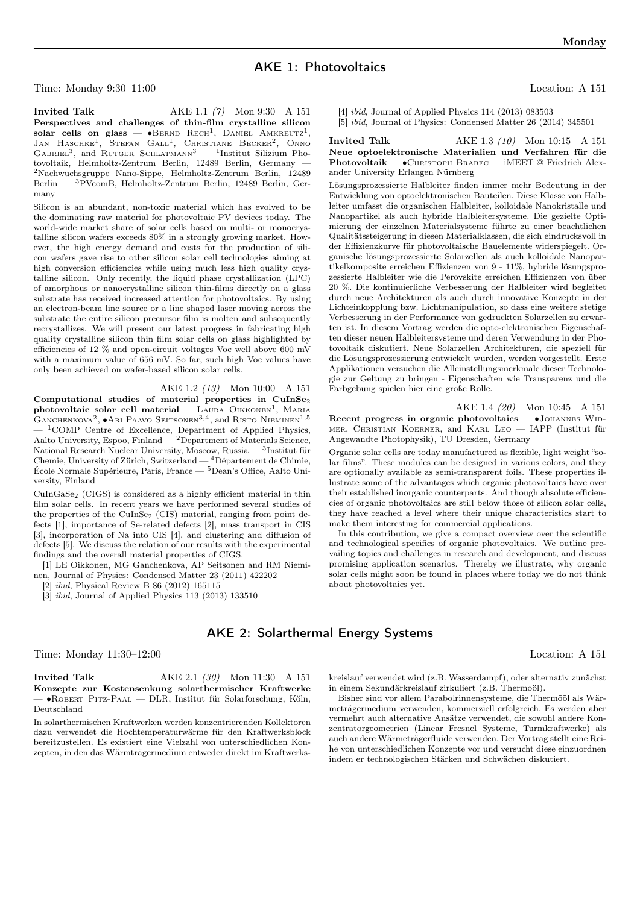## AKE 1: Photovoltaics

Time: Monday 9:30–11:00 Location: A 151

many

**Invited Talk** AKE 1.1 (7) Mon 9:30 A 151 Perspectives and challenges of thin-film crystalline silicon solar cells on glass —  $\bullet$ Bernd Rech<sup>1</sup>, Daniel Amkreutz<sup>1</sup>, JAN HASCHKE<sup>1</sup>, STEFAN GALL<sup>1</sup>, CHRISTIANE BECKER<sup>2</sup>, ONNO GABRIEL<sup>3</sup>, and RUTGER SCHLATMANN<sup>3</sup> - <sup>1</sup>Institut Silizium Photovoltaik, Helmholtz-Zentrum Berlin, 12489 Berlin, Germany — <sup>2</sup>Nachwuchsgruppe Nano-Sippe, Helmholtz-Zentrum Berlin, 12489 Berlin — <sup>3</sup>PVcomB, Helmholtz-Zentrum Berlin, 12489 Berlin, Ger-

Silicon is an abundant, non-toxic material which has evolved to be the dominating raw material for photovoltaic PV devices today. The world-wide market share of solar cells based on multi- or monocrystalline silicon wafers exceeds 80% in a strongly growing market. However, the high energy demand and costs for the production of silicon wafers gave rise to other silicon solar cell technologies aiming at high conversion efficiencies while using much less high quality crystalline silicon. Only recently, the liquid phase crystallization (LPC) of amorphous or nanocrystalline silicon thin-films directly on a glass substrate has received increased attention for photovoltaics. By using an electron-beam line source or a line shaped laser moving across the substrate the entire silicon precursor film is molten and subsequently recrystallizes. We will present our latest progress in fabricating high quality crystalline silicon thin film solar cells on glass highlighted by efficiencies of 12 % and open-circuit voltages Voc well above 600 mV with a maximum value of 656 mV. So far, such high Voc values have

Computational studies of material properties in  $\rm CuInSe_2$  ${\rm photovoltaic}$  solar cell material —  ${\rm Laura\,\, OikkonsN^1},$   ${\rm Mara}$ GANCHENKOVA<sup>2</sup>,  $\bullet$ Ari Paavo Seitsonen<sup>3,4</sup>, and Risto Nieminen<sup>1,5</sup> <sup>1</sup>COMP Centre of Excellence, Department of Applied Physics, Aalto University, Espoo, Finland — <sup>2</sup>Department of Materials Science, National Research Nuclear University, Moscow, Russia — <sup>3</sup> Institut für Chemie, University of Zürich, Switzerland — <sup>4</sup>Département de Chimie, École Normale Supérieure, Paris, France — <sup>5</sup>Dean's Office, Aalto Uni-

CuInGaSe<sup>2</sup> (CIGS) is considered as a highly efficient material in thin film solar cells. In recent years we have performed several studies of the properties of the CuInSe<sub>2</sub> (CIS) material, ranging from point defects [1], importance of Se-related defects [2], mass transport in CIS [3], incorporation of Na into CIS [4], and clustering and diffusion of defects [5]. We discuss the relation of our results with the experimental

[1] LE Oikkonen, MG Ganchenkova, AP Seitsonen and RM Niemi-

nen, Journal of Physics: Condensed Matter 23 (2011) 422202

[3] ibid, Journal of Applied Physics 113 (2013) 133510

AKE 1.2 (13) Mon 10:00 A 151

only been achieved on wafer-based silicon solar cells.

findings and the overall material properties of CIGS.

[2] ibid, Physical Review B 86 (2012) 165115

[4] ibid, Journal of Applied Physics 114 (2013) 083503 [5] ibid, Journal of Physics: Condensed Matter 26 (2014) 345501

**Invited Talk** AKE 1.3 (10) Mon 10:15 A 151 Neue optoelektronische Materialien und Verfahren für die Photovoltaik — ∙Christoph Brabec — iMEET @ Friedrich Alexander University Erlangen Nürnberg

Lösungsprozessierte Halbleiter finden immer mehr Bedeutung in der Entwicklung von optoelektronischen Bauteilen. Diese Klasse von Halbleiter umfasst die organischen Halbleiter, kolloidale Nanokristalle und Nanopartikel als auch hybride Halbleitersysteme. Die gezielte Optimierung der einzelnen Materialsysteme führte zu einer beachtlichen Qualitätssteigerung in diesen Materialklassen, die sich eindrucksvoll in der Effizienzkurve für photovoltaische Bauelemente widerspiegelt. Organische lösungsprozessierte Solarzellen als auch kolloidale Nanopartikelkomposite erreichen Effizienzen von 9 - 11%, hybride lösungsprozessierte Halbleiter wie die Perovskite erreichen Effizienzen von über 20 %. Die kontinuierliche Verbesserung der Halbleiter wird begleitet durch neue Architekturen als auch durch innovative Konzepte in der Lichteinkopplung bzw. Lichtmanipulation, so dass eine weitere stetige Verbesserung in der Performance von gedruckten Solarzellen zu erwarten ist. In diesem Vortrag werden die opto-elektronischen Eigenschaften dieser neuen Halbleitersysteme und deren Verwendung in der Photovoltaik diskutiert. Neue Solarzellen Architekturen, die speziell für die Lösungsprozessierung entwickelt wurden, werden vorgestellt. Erste Applikationen versuchen die Alleinstellungsmerkmale dieser Technologie zur Geltung zu bringen - Eigenschaften wie Transparenz und die Farbgebung spielen hier eine große Rolle.

AKE 1.4 (20) Mon 10:45 A 151 Recent progress in organic photovoltaics — •JOHANNES WIDmer, Christian Koerner, and Karl Leo — IAPP (Institut für Angewandte Photophysik), TU Dresden, Germany

Organic solar cells are today manufactured as flexible, light weight "solar films". These modules can be designed in various colors, and they are optionally available as semi-transparent foils. These properties illustrate some of the advantages which organic photovoltaics have over their established inorganic counterparts. And though absolute efficiencies of organic photovoltaics are still below those of silicon solar cells, they have reached a level where their unique characteristics start to make them interesting for commercial applications.

In this contribution, we give a compact overview over the scientific and technological specifics of organic photovoltaics. We outline prevailing topics and challenges in research and development, and discuss promising application scenarios. Thereby we illustrate, why organic solar cells might soon be found in places where today we do not think about photovoltaics yet.

AKE 2: Solarthermal Energy Systems

Time: Monday 11:30–12:00 Location: A 151

versity, Finland

**Invited Talk** AKE 2.1 (30) Mon 11:30 A 151 Konzepte zur Kostensenkung solarthermischer Kraftwerke — ∙Robert Pitz-Paal — DLR, Institut für Solarforschung, Köln, Deutschland

In solarthermischen Kraftwerken werden konzentrierenden Kollektoren dazu verwendet die Hochtemperaturwärme für den Kraftwerksblock bereitzustellen. Es existiert eine Vielzahl von unterschiedlichen Konzepten, in den das Wärmträgermedium entweder direkt im Kraftwerkskreislauf verwendet wird (z.B. Wasserdampf), oder alternativ zunächst in einem Sekundärkreislauf zirkuliert (z.B. Thermoöl).

Bisher sind vor allem Parabolrinnensysteme, die Thermööl als Wärmeträgermedium verwenden, kommerziell erfolgreich. Es werden aber vermehrt auch alternative Ansätze verwendet, die sowohl andere Konzentratorgeometrien (Linear Fresnel Systeme, Turmkraftwerke) als auch andere Wärmeträgerfluide verwenden. Der Vortrag stellt eine Reihe von unterschiedlichen Konzepte vor und versucht diese einzuordnen indem er technologischen Stärken und Schwächen diskutiert.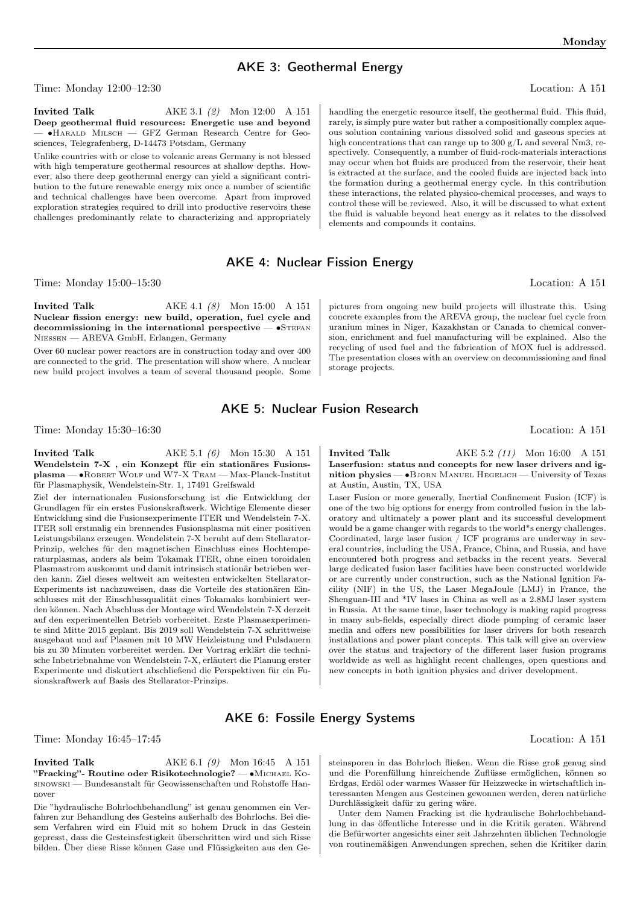### AKE 3: Geothermal Energy

Time: Monday 12:00–12:30 Location: A 151

**Invited Talk AKE 3.1 (2)** Mon 12:00 **A** 151 Deep geothermal fluid resources: Energetic use and beyond — ∙Harald Milsch — GFZ German Research Centre for Geosciences, Telegrafenberg, D-14473 Potsdam, Germany

Unlike countries with or close to volcanic areas Germany is not blessed with high temperature geothermal resources at shallow depths. However, also there deep geothermal energy can yield a significant contribution to the future renewable energy mix once a number of scientific and technical challenges have been overcome. Apart from improved exploration strategies required to drill into productive reservoirs these challenges predominantly relate to characterizing and appropriately

handling the energetic resource itself, the geothermal fluid. This fluid, rarely, is simply pure water but rather a compositionally complex aqueous solution containing various dissolved solid and gaseous species at high concentrations that can range up to 300 g/L and several Nm3, respectively. Consequently, a number of fluid-rock-materials interactions may occur when hot fluids are produced from the reservoir, their heat is extracted at the surface, and the cooled fluids are injected back into the formation during a geothermal energy cycle. In this contribution these interactions, the related physico-chemical processes, and ways to control these will be reviewed. Also, it will be discussed to what extent the fluid is valuable beyond heat energy as it relates to the dissolved elements and compounds it contains.

## AKE 4: Nuclear Fission Energy

Time: Monday 15:00–15:30 Location: A 151

**Invited Talk** AKE 4.1 (8) Mon 15:00 A 151 Nuclear fission energy: new build, operation, fuel cycle and decommissioning in the international perspective — •STEFAN Niessen — AREVA GmbH, Erlangen, Germany

Over 60 nuclear power reactors are in construction today and over 400 are connected to the grid. The presentation will show where. A nuclear new build project involves a team of several thousand people. Some pictures from ongoing new build projects will illustrate this. Using concrete examples from the AREVA group, the nuclear fuel cycle from uranium mines in Niger, Kazakhstan or Canada to chemical conversion, enrichment and fuel manufacturing will be explained. Also the recycling of used fuel and the fabrication of MOX fuel is addressed. The presentation closes with an overview on decommissioning and final storage projects.

## AKE 5: Nuclear Fusion Research

Time: Monday 15:30–16:30 Location: A 151

Invited Talk  $AKE$  5.1 (6) Mon 15:30 A 151 Wendelstein 7-X , ein Konzept für ein stationäres Fusionsplasma — ∙Robert Wolf und W7-X Team — Max-Planck-Institut für Plasmaphysik, Wendelstein-Str. 1, 17491 Greifswald

Ziel der internationalen Fusionsforschung ist die Entwicklung der Grundlagen für ein erstes Fusionskraftwerk. Wichtige Elemente dieser Entwicklung sind die Fusionsexperimente ITER und Wendelstein 7-X. ITER soll erstmalig ein brennendes Fusionsplasma mit einer positiven Leistungsbilanz erzeugen. Wendelstein 7-X beruht auf dem Stellarator-Prinzip, welches für den magnetischen Einschluss eines Hochtemperaturplasmas, anders als beim Tokamak ITER, ohne einen toroidalen Plasmastrom auskommt und damit intrinsisch stationär betrieben werden kann. Ziel dieses weltweit am weitesten entwickelten Stellarator-Experiments ist nachzuweisen, dass die Vorteile des stationären Einschlusses mit der Einschlussqualität eines Tokamaks kombiniert werden können. Nach Abschluss der Montage wird Wendelstein 7-X derzeit auf den experimentellen Betrieb vorbereitet. Erste Plasmaexperimente sind Mitte 2015 geplant. Bis 2019 soll Wendelstein 7-X schrittweise ausgebaut und auf Plasmen mit 10 MW Heizleistung und Pulsdauern bis zu 30 Minuten vorbereitet werden. Der Vortrag erklärt die technische Inbetriebnahme von Wendelstein 7-X, erläutert die Planung erster Experimente und diskutiert abschließend die Perspektiven für ein Fusionskraftwerk auf Basis des Stellarator-Prinzips.

**Invited Talk** AKE 5.2 (11) Mon 16:00 A 151 Laserfusion: status and concepts for new laser drivers and ignition physics — •BJORN MANUEL HEGELICH — University of Texas at Austin, Austin, TX, USA

Laser Fusion or more generally, Inertial Confinement Fusion (ICF) is one of the two big options for energy from controlled fusion in the laboratory and ultimately a power plant and its successful development would be a game changer with regards to the world\*s energy challenges. Coordinated, large laser fusion / ICF programs are underway in several countries, including the USA, France, China, and Russia, and have encountered both progress and setbacks in the recent years. Several large dedicated fusion laser facilities have been constructed worldwide or are currently under construction, such as the National Ignition Facility (NIF) in the US, the Laser MegaJoule (LMJ) in France, the Shenguan-III and \*IV lases in China as well as a 2.8MJ laser system in Russia. At the same time, laser technology is making rapid progress in many sub-fields, especially direct diode pumping of ceramic laser media and offers new possibilities for laser drivers for both research installations and power plant concepts. This talk will give an overview over the status and trajectory of the different laser fusion programs worldwide as well as highlight recent challenges, open questions and new concepts in both ignition physics and driver development.

### AKE 6: Fossile Energy Systems

Time: Monday 16:45–17:45 Location: A 151

**Invited Talk** AKE 6.1 (9) Mon 16:45 A 151 "Fracking" - Routine oder Risikotechnologie? — • MICHAEL KOsinowski — Bundesanstalt für Geowissenschaften und Rohstoffe Hannover

Die "hydraulische Bohrlochbehandlung" ist genau genommen ein Verfahren zur Behandlung des Gesteins außerhalb des Bohrlochs. Bei diesem Verfahren wird ein Fluid mit so hohem Druck in das Gestein gepresst, dass die Gesteinsfestigkeit überschritten wird und sich Risse bilden. Über diese Risse können Gase und Flüssigkeiten aus den Gesteinsporen in das Bohrloch fließen. Wenn die Risse groß genug sind und die Porenfüllung hinreichende Zuflüsse ermöglichen, können so Erdgas, Erdöl oder warmes Wasser für Heizzwecke in wirtschaftlich interessanten Mengen aus Gesteinen gewonnen werden, deren natürliche Durchlässigkeit dafür zu gering wäre.

Unter dem Namen Fracking ist die hydraulische Bohrlochbehandlung in das öffentliche Interesse und in die Kritik geraten. Während die Befürworter angesichts einer seit Jahrzehnten üblichen Technologie von routinemäßigen Anwendungen sprechen, sehen die Kritiker darin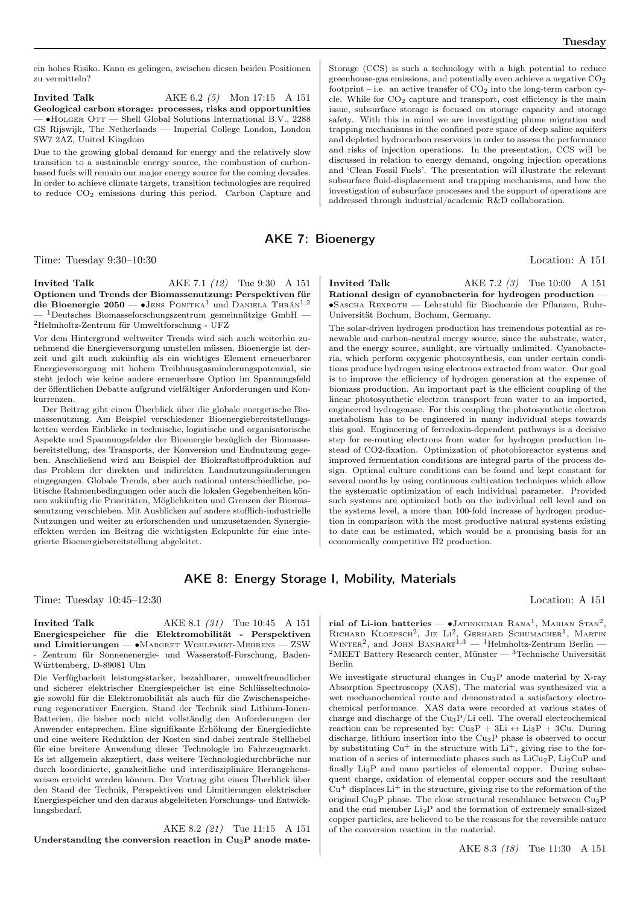ein hohes Risiko. Kann es gelingen, zwischen diesen beiden Positionen zu vermitteln?

**Invited Talk** AKE 6.2 (5) Mon 17:15 A 151 Geological carbon storage: processes, risks and opportunities — ∙Holger Ott — Shell Global Solutions International B.V., 2288 GS Rijswijk, The Netherlands — Imperial College London, London SW7 2AZ, United Kingdom

Due to the growing global demand for energy and the relatively slow transition to a sustainable energy source, the combustion of carbonbased fuels will remain our major energy source for the coming decades. In order to achieve climate targets, transition technologies are required to reduce CO<sup>2</sup> emissions during this period. Carbon Capture and Storage (CCS) is such a technology with a high potential to reduce greenhouse-gas emissions, and potentially even achieve a negative  $CO<sub>2</sub>$ footprint – i.e. an active transfer of  $CO<sub>2</sub>$  into the long-term carbon cycle. While for  $CO<sub>2</sub>$  capture and transport, cost efficiency is the main issue, subsurface storage is focused on storage capacity and storage safety. With this in mind we are investigating plume migration and trapping mechanisms in the confined pore space of deep saline aquifers and depleted hydrocarbon reservoirs in order to assess the performance and risks of injection operations. In the presentation, CCS will be discussed in relation to energy demand, ongoing injection operations and 'Clean Fossil Fuels'. The presentation will illustrate the relevant subsurface fluid-displacement and trapping mechanisms, and how the investigation of subsurface processes and the support of operations are addressed through industrial/academic R&D collaboration.

AKE 7: Bioenergy

Time: Tuesday 9:30–10:30 Location: A 151

**Invited Talk** AKE 7.1 (12) Tue 9:30 A 151 Optionen und Trends der Biomassenutzung: Perspektiven für die Bioenergie 2050 — •JENS PONITKA<sup>1</sup> und DANIELA THRÄN<sup>1,2</sup>  $^{-1}$ Deutsches Biomasseforschungszentrum gemeinnützige GmbH — <sup>2</sup>Helmholtz-Zentrum für Umweltforschung - UFZ

Vor dem Hintergrund weltweiter Trends wird sich auch weiterhin zunehmend die Energieversorgung umstellen müssen. Bioenergie ist derzeit und gilt auch zukünftig als ein wichtiges Element erneuerbarer Energieversorgung mit hohem Treibhausgasminderungspotenzial, sie steht jedoch wie keine andere erneuerbare Option im Spannungsfeld der öffentlichen Debatte aufgrund vielfältiger Anforderungen und Konkurrenzen.

Der Beitrag gibt einen Überblick über die globale energetische Biomassenutzung. Am Beispiel verschiedener Bioenergiebereitstellungsketten werden Einblicke in technische, logistische und organisatorische Aspekte und Spannungsfelder der Bioenergie bezüglich der Biomassebereitstellung, des Transports, der Konversion und Endnutzung gegeben. Anschließend wird am Beispiel der Biokraftstoffproduktion auf das Problem der direkten und indirekten Landnutzungsänderungen eingegangen. Globale Trends, aber auch national unterschiedliche, politische Rahmenbedingungen oder auch die lokalen Gegebenheiten können zukünftig die Prioritäten, Möglichkeiten und Grenzen der Biomassenutzung verschieben. Mit Ausblicken auf andere stofflich-industrielle Nutzungen und weiter zu erforschenden und umzusetzenden Synergieeffekten werden im Beitrag die wichtigsten Eckpunkte für eine integrierte Bioenergiebereitstellung abgeleitet.

**Invited Talk** AKE 7.2 (3) Tue 10:00 A 151 Rational design of cyanobacteria for hydrogen production — ∙Sascha Rexroth — Lehrstuhl für Biochemie der Pflanzen, Ruhr-Universität Bochum, Bochum, Germany.

The solar-driven hydrogen production has tremendous potential as renewable and carbon-neutral energy source, since the substrate, water, and the energy source, sunlight, are virtually unlimited. Cyanobacteria, which perform oxygenic photosynthesis, can under certain conditions produce hydrogen using electrons extracted from water. Our goal is to improve the efficiency of hydrogen generation at the expense of biomass production. An important part is the efficient coupling of the linear photosynthetic electron transport from water to an imported, engineered hydrogenase. For this coupling the photosynthetic electron metabolism has to be engineered in many individual steps towards this goal. Engineering of ferredoxin-dependent pathways is a decisive step for re-routing electrons from water for hydrogen production instead of CO2-fixation. Optimization of photobioreactor systems and improved fermentation conditions are integral parts of the process design. Optimal culture conditions can be found and kept constant for several months by using continuous cultivation techniques which allow the systematic optimization of each individual parameter. Provided such systems are optimized both on the individual cell level and on the systems level, a more than 100-fold increase of hydrogen production in comparison with the most productive natural systems existing to date can be estimated, which would be a promising basis for an economically competitive H2 production.

#### AKE 8: Energy Storage I, Mobility, Materials

Time: Tuesday 10:45–12:30 Location: A 151

#### **Invited Talk** AKE 8.1 (31) Tue 10:45 A 151 Energiespeicher für die Elektromobilität - Perspektiven und Limitierungen — ∙Margret Wohlfahrt-Mehrens — ZSW - Zentrum für Sonnenenergie- und Wasserstoff-Forschung, Baden-Württemberg, D-89081 Ulm

Die Verfügbarkeit leistungsstarker, bezahlbarer, umweltfreundlicher und sicherer elektrischer Energiespeicher ist eine Schlüsseltechnologie sowohl für die Elektromobilität als auch für die Zwischenspeicherung regenerativer Energien. Stand der Technik sind Lithium-Ionen-Batterien, die bisher noch nicht vollständig den Anforderungen der Anwender entsprechen. Eine signifikante Erhöhung der Energiedichte und eine weitere Reduktion der Kosten sind dabei zentrale Stellhebel für eine breitere Anwendung dieser Technologie im Fahrzeugmarkt. Es ist allgemein akzeptiert, dass weitere Technologiedurchbrüche nur durch koordinierte, ganzheitliche und interdisziplinäre Herangehensweisen erreicht werden können. Der Vortrag gibt einen Überblick über den Stand der Technik, Perspektiven und Limitierungen elektrischer Energiespeicher und den daraus abgeleiteten Forschungs- und Entwicklungsbedarf.

AKE 8.2 (21) Tue 11:15 A 151 Understanding the conversion reaction in  $Cu<sub>3</sub>P$  anode mate-

rial of Li-ion batteries —  $\bullet$ Jatinkumar Rana<sup>1</sup>, Marian Stan<sup>2</sup>, RICHARD KLOEPSCH<sup>2</sup>, JIE  $Li^2$ , GERHARD SCHUMACHER<sup>1</sup>, MARTIN WINTER<sup>2</sup>, and JOHN BANHART<sup>1,3</sup> — <sup>1</sup>Helmholtz-Zentrum Berlin —  $2$ MEET Battery Research center, Münster —  $3$ Technische Universität Berlin

We investigate structural changes in Cu3P anode material by X-ray Absorption Spectroscopy (XAS). The material was synthesized via a wet mechanochemical route and demonstrated a satisfactory electrochemical performance. XAS data were recorded at various states of charge and discharge of the Cu3P/Li cell. The overall electrochemical reaction can be represented by:  $Cu_3P + 3Li \leftrightarrow Li_3P + 3Cu$ . During discharge, lithium insertion into the Cu<sub>3</sub>P phase is observed to occur by substituting  $Cu^+$  in the structure with  $Li^+$ , giving rise to the formation of a series of intermediate phases such as  $LiCu<sub>2</sub>P$ ,  $Li<sub>2</sub>CuP$  and finally Li3P and nano particles of elemental copper. During subsequent charge, oxidation of elemental copper occurs and the resultant  $Cu<sup>+</sup>$  displaces  $Li<sup>+</sup>$  in the structure, giving rise to the reformation of the original Cu<sub>3</sub>P phase. The close structural resemblance between  $Cu<sub>3</sub>P$ and the end member Li3P and the formation of extremely small-sized copper particles, are believed to be the reasons for the reversible nature of the conversion reaction in the material.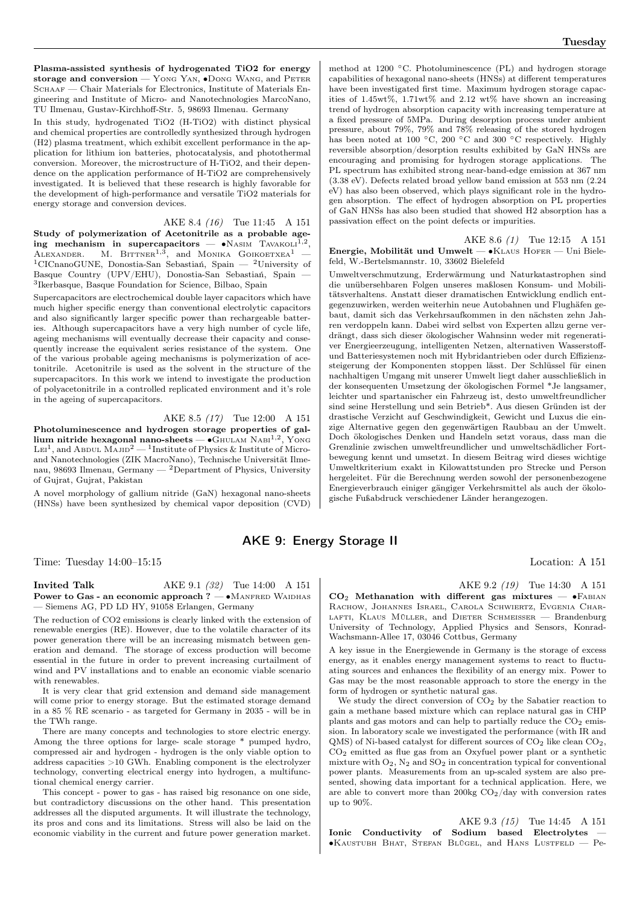Plasma-assisted synthesis of hydrogenated TiO2 for energy storage and conversion — Yong YAN, •Dong WANG, and PETER SCHAAF — Chair Materials for Electronics, Institute of Materials Engineering and Institute of Micro- and Nanotechnologies MarcoNano, TU Ilmenau, Gustav-Kirchhoff-Str. 5, 98693 Ilmenau. Germany

In this study, hydrogenated TiO2 (H-TiO2) with distinct physical and chemical properties are controlledly synthesized through hydrogen (H2) plasma treatment, which exhibit excellent performance in the application for lithium ion batteries, photocatalysis, and photothermal conversion. Moreover, the microstructure of H-TiO2, and their dependence on the application performance of H-TiO2 are comprehensively investigated. It is believed that these research is highly favorable for the development of high-performance and versatile TiO2 materials for energy storage and conversion devices.

AKE 8.4 (16) Tue 11:45 A 151 Study of polymerization of Acetonitrile as a probable ageing mechanism in supercapacitors — •NASIM TAVAKOLI<sup>1,2</sup>, ALEXANDER. M. BITTNER<sup>1,3</sup>, and MONIKA GOIKOETXEA<sup>1</sup> – <sup>1</sup>CICnanoGUNE, Donostia-San Sebastiań, Spain — <sup>2</sup>University of Basque Country (UPV/EHU), Donostia-San Sebastiań, Spain — 3 Ikerbasque, Basque Foundation for Science, Bilbao, Spain

Supercapacitors are electrochemical double layer capacitors which have much higher specific energy than conventional electrolytic capacitors and also significantly larger specific power than rechargeable batteries. Although supercapacitors have a very high number of cycle life, ageing mechanisms will eventually decrease their capacity and consequently increase the equivalent series resistance of the system. One of the various probable ageing mechanisms is polymerization of acetonitrile. Acetonitrile is used as the solvent in the structure of the supercapacitors. In this work we intend to investigate the production of polyacetonitrile in a controlled replicated environment and it's role in the ageing of supercapacitors.

#### AKE 8.5 (17) Tue 12:00 A 151

Photoluminescence and hydrogen storage properties of gallium nitride hexagonal nano-sheets —  $\bullet$ G<code>HULAM NABI $^{1,2},$  Yong</code> Lei<sup>1</sup>, and Abdul Majid<sup>2</sup> — <sup>1</sup>Institute of Physics & Institute of Microand Nanotechnologies (ZIK MacroNano), Technische Universität Ilmenau, 98693 Ilmenau, Germany — <sup>2</sup>Department of Physics, University of Gujrat, Gujrat, Pakistan

A novel morphology of gallium nitride (GaN) hexagonal nano-sheets (HNSs) have been synthesized by chemical vapor deposition (CVD)

method at 1200 <sup>∘</sup>C. Photoluminescence (PL) and hydrogen storage capabilities of hexagonal nano-sheets (HNSs) at different temperatures have been investigated first time. Maximum hydrogen storage capacities of 1.45wt%, 1.71wt% and 2.12 wt% have shown an increasing trend of hydrogen absorption capacity with increasing temperature at a fixed pressure of 5MPa. During desorption process under ambient pressure, about 79%, 79% and 78% releasing of the stored hydrogen has been noted at 100 <sup>∘</sup>C, 200 <sup>∘</sup>C and 300 <sup>∘</sup>C respectively. Highly reversible absorption/desorption results exhibited by GaN HNSs are encouraging and promising for hydrogen storage applications. The PL spectrum has exhibited strong near-band-edge emission at 367 nm (3.38 eV). Defects related broad yellow band emission at 553 nm (2.24 eV) has also been observed, which plays significant role in the hydrogen absorption. The effect of hydrogen absorption on PL properties of GaN HNSs has also been studied that showed H2 absorption has a passivation effect on the point defects or impurities.

AKE 8.6 (1) Tue 12:15 A 151 Energie, Mobilität und Umwelt — ∙Klaus Hofer — Uni Bielefeld, W.-Bertelsmannstr. 10, 33602 Bielefeld

Umweltverschmutzung, Erderwärmung und Naturkatastrophen sind die unübersehbaren Folgen unseres maßlosen Konsum- und Mobilitätsverhaltens. Anstatt dieser dramatischen Entwicklung endlich entgegenzuwirken, werden weiterhin neue Autobahnen und Flughäfen gebaut, damit sich das Verkehrsaufkommen in den nächsten zehn Jahren verdoppeln kann. Dabei wird selbst von Experten allzu gerne verdrängt, dass sich dieser ökologischer Wahnsinn weder mit regenerativer Energieerzeugung, intelligenten Netzen, alternativen Wasserstoffund Batteriesystemen noch mit Hybridantrieben oder durch Effizienzsteigerung der Komponenten stoppen lässt. Der Schlüssel für einen nachhaltigen Umgang mit unserer Umwelt liegt daher ausschließlich in der konsequenten Umsetzung der ökologischen Formel \*Je langsamer, leichter und spartanischer ein Fahrzeug ist, desto umweltfreundlicher sind seine Herstellung und sein Betrieb\*. Aus diesen Gründen ist der drastische Verzicht auf Geschwindigkeit, Gewicht und Luxus die einzige Alternative gegen den gegenwärtigen Raubbau an der Umwelt. Doch ökologisches Denken und Handeln setzt voraus, dass man die Grenzlinie zwischen umweltfreundlicher und umweltschädlicher Fortbewegung kennt und umsetzt. In diesem Beitrag wird dieses wichtige Umweltkriterium exakt in Kilowattstunden pro Strecke und Person hergeleitet. Für die Berechnung werden sowohl der personenbezogene Energieverbrauch einiger gängiger Verkehrsmittel als auch der ökologische Fußabdruck verschiedener Länder herangezogen.

#### AKE 9: Energy Storage II

Time: Tuesday 14:00–15:15 Location: A 151

**Invited Talk** AKE 9.1 (32) Tue 14:00 A 151 Power to Gas - an economic approach ?  $-\bullet$ Manfred Waidhas — Siemens AG, PD LD HY, 91058 Erlangen, Germany

The reduction of CO2 emissions is clearly linked with the extension of renewable energies (RE). However, due to the volatile character of its power generation there will be an increasing mismatch between generation and demand. The storage of excess production will become essential in the future in order to prevent increasing curtailment of wind and PV installations and to enable an economic viable scenario with renewables.

It is very clear that grid extension and demand side management will come prior to energy storage. But the estimated storage demand in a 85 % RE scenario - as targeted for Germany in 2035 - will be in the TWh range.

There are many concepts and technologies to store electric energy. Among the three options for large- scale storage \* pumped hydro, compressed air and hydrogen - hydrogen is the only viable option to address capacities >10 GWh. Enabling component is the electrolyzer technology, converting electrical energy into hydrogen, a multifunctional chemical energy carrier.

This concept - power to gas - has raised big resonance on one side, but contradictory discussions on the other hand. This presentation addresses all the disputed arguments. It will illustrate the technology, its pros and cons and its limitations. Stress will also be laid on the economic viability in the current and future power generation market.

AKE 9.2 (19) Tue 14:30 A 151  $CO<sub>2</sub>$  Methanation with different gas mixtures — •FABIAN RACHOW, JOHANNES ISRAEL, CAROLA SCHWIERTZ, EVGENIA CHAR-LAFTI, KLAUS MÜLLER, and DIETER SCHMEISSER - Brandenburg University of Technology, Applied Physics and Sensors, Konrad-

A key issue in the Energiewende in Germany is the storage of excess energy, as it enables energy management systems to react to fluctuating sources and enhances the flexibility of an energy mix. Power to Gas may be the most reasonable approach to store the energy in the form of hydrogen or synthetic natural gas.

Wachsmann-Allee 17, 03046 Cottbus, Germany

We study the direct conversion of  $CO<sub>2</sub>$  by the Sabatier reaction to gain a methane based mixture which can replace natural gas in CHP plants and gas motors and can help to partially reduce the  $CO<sub>2</sub>$  emission. In laboratory scale we investigated the performance (with IR and  $QMS$ ) of Ni-based catalyst for different sources of  $CO<sub>2</sub>$  like clean  $CO<sub>2</sub>$ , CO<sup>2</sup> emitted as flue gas from an Oxyfuel power plant or a synthetic mixture with  $O_2$ ,  $N_2$  and  $SO_2$  in concentration typical for conventional power plants. Measurements from an up-scaled system are also presented, showing data important for a technical application. Here, we are able to convert more than 200kg  $CO<sub>2</sub>/day$  with conversion rates up to 90%.

AKE 9.3 (15) Tue 14:45 A 151 Ionic Conductivity of Sodium based Electrolytes ∙Kaustubh Bhat, Stefan Blügel, and Hans Lustfeld — Pe-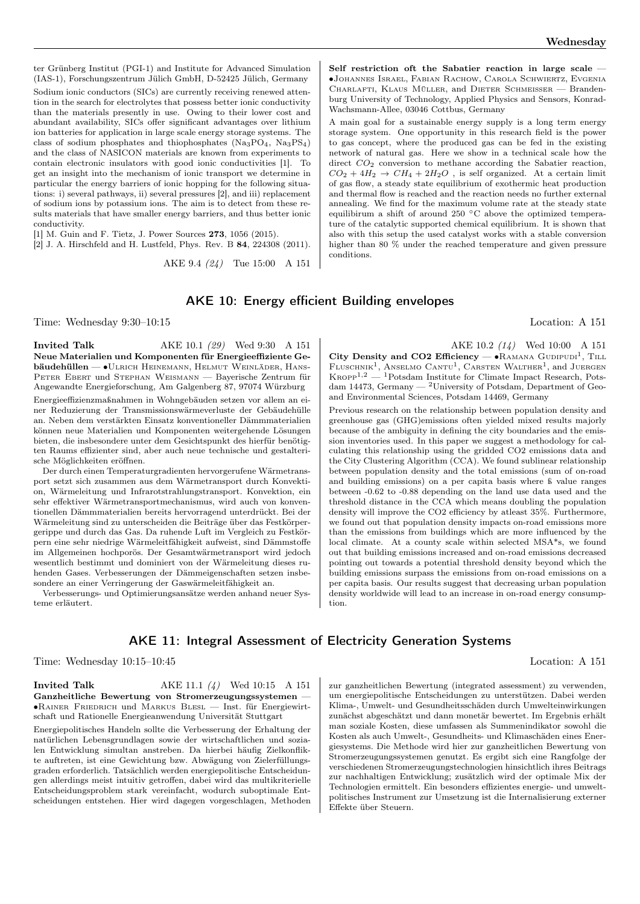ter Grünberg Institut (PGI-1) and Institute for Advanced Simulation (IAS-1), Forschungszentrum Jülich GmbH, D-52425 Jülich, Germany Sodium ionic conductors (SICs) are currently receiving renewed attention in the search for electrolytes that possess better ionic conductivity than the materials presently in use. Owing to their lower cost and abundant availability, SICs offer significant advantages over lithium ion batteries for application in large scale energy storage systems. The class of sodium phosphates and thiophosphates  $(Na_3PO_4, Na_3PS_4)$ and the class of NASICON materials are known from experiments to contain electronic insulators with good ionic conductivities [1]. To get an insight into the mechanism of ionic transport we determine in particular the energy barriers of ionic hopping for the following situations: i) several pathways, ii) several pressures [2], and iii) replacement of sodium ions by potassium ions. The aim is to detect from these results materials that have smaller energy barriers, and thus better ionic conductivity.

[1] M. Guin and F. Tietz, J. Power Sources 273, 1056 (2015).

[2] J. A. Hirschfeld and H. Lustfeld, Phys. Rev. B 84, 224308 (2011).

AKE 9.4 (24) Tue 15:00 A 151

Self restriction oft the Sabatier reaction in large scale ∙Johannes Israel, Fabian Rachow, Carola Schwiertz, Evgenia CHARLAFTI, KLAUS MÜLLER, and DIETER SCHMEISSER - Brandenburg University of Technology, Applied Physics and Sensors, Konrad-Wachsmann-Allee, 03046 Cottbus, Germany

A main goal for a sustainable energy supply is a long term energy storage system. One opportunity in this research field is the power to gas concept, where the produced gas can be fed in the existing network of natural gas. Here we show in a technical scale how the direct  $CO<sub>2</sub>$  conversion to methane according the Sabatier reaction,  $CO_2 + 4H_2 \rightarrow CH_4 + 2H_2O$ , is self organized. At a certain limit of gas flow, a steady state equilibrium of exothermic heat production and thermal flow is reached and the reaction needs no further external annealing. We find for the maximum volume rate at the steady state equilibirum a shift of around 250 <sup>∘</sup>C above the optimized temperature of the catalytic supported chemical equilibrium. It is shown that also with this setup the used catalyst works with a stable conversion higher than 80  $\%$  under the reached temperature and given pressure conditions.

## AKE 10: Energy efficient Building envelopes

Time: Wednesday 9:30–10:15 Location: A 151

**Invited Talk** AKE 10.1 (29) Wed 9:30 A 151 Neue Materialien und Komponenten für Energieeffiziente Gebäudehüllen — ∙Ulrich Heinemann, Helmut Weinläder, Hans-Peter Ebert und Stephan Weismann — Bayerische Zentrum für Angewandte Energieforschung, Am Galgenberg 87, 97074 Würzburg

Energieeffizienzmaßnahmen in Wohngebäuden setzen vor allem an einer Reduzierung der Transmissionswärmeverluste der Gebäudehülle an. Neben dem verstärkten Einsatz konventioneller Dämmmaterialien können neue Materialien und Komponenten weitergehende Lösungen bieten, die insbesondere unter dem Gesichtspunkt des hierfür benötigten Raums effizienter sind, aber auch neue technische und gestalterische Möglichkeiten eröffnen.

Der durch einen Temperaturgradienten hervorgerufene Wärmetransport setzt sich zusammen aus dem Wärmetransport durch Konvektion, Wärmeleitung und Infrarotstrahlungstransport. Konvektion, ein sehr effektiver Wärmetransportmechanismus, wird auch von konventionellen Dämmmaterialien bereits hervorragend unterdrückt. Bei der Wärmeleitung sind zu unterscheiden die Beiträge über das Festkörpergerippe und durch das Gas. Da ruhende Luft im Vergleich zu Festkörpern eine sehr niedrige Wärmeleitfähigkeit aufweist, sind Dämmstoffe im Allgemeinen hochporös. Der Gesamtwärmetransport wird jedoch wesentlich bestimmt und dominiert von der Wärmeleitung dieses ruhenden Gases. Verbesserungen der Dämmeigenschaften setzen insbesondere an einer Verringerung der Gaswärmeleitfähigkeit an.

Verbesserungs- und Optimierungsansätze werden anhand neuer Systeme erläutert.

AKE 10.2 (14) Wed 10:00 A 151 City Density and CO2 Efficiency —  $\bullet$ RAMANA GUDIPUDI<sup>1</sup>, TILL FLUSCHNIK<sup>1</sup>, ANSELMO CANTU<sup>1</sup>, CARSTEN WALTHER<sup>1</sup>, and JUERGEN  $K_{\text{ROPP}}^{1,2}$  — <sup>1</sup>Potsdam Institute for Climate Impact Research, Potsdam 14473, Germany — <sup>2</sup>University of Potsdam, Department of Geoand Environmental Sciences, Potsdam 14469, Germany

Previous research on the relationship between population density and greenhouse gas (GHG)emissions often yielded mixed results majorly because of the ambiguity in defining the city boundaries and the emission inventories used. In this paper we suggest a methodology for calculating this relationship using the gridded CO2 emissions data and the City Clustering Algorithm (CCA). We found sublinear relationship between population density and the total emissions (sum of on-road and building emissions) on a per capita basis where ß value ranges between -0.62 to -0.88 depending on the land use data used and the threshold distance in the CCA which means doubling the population density will improve the CO2 efficiency by atleast 35%. Furthermore, we found out that population density impacts on-road emissions more than the emissions from buildings which are more influenced by the local climate. At a county scale within selected MSA\*s, we found out that building emissions increased and on-road emissions decreased pointing out towards a potential threshold density beyond which the building emissions surpass the emissions from on-road emissions on a per capita basis. Our results suggest that decreasing urban population density worldwide will lead to an increase in on-road energy consumption.

## AKE 11: Integral Assessment of Electricity Generation Systems

Time: Wednesday 10:15–10:45 Location: A 151

#### **Invited Talk** AKE 11.1 (4) Wed 10:15 A 151 Ganzheitliche Bewertung von Stromerzeugungssystemen — ∙Rainer Friedrich und Markus Blesl — Inst. für Energiewirtschaft und Rationelle Energieanwendung Universität Stuttgart

Energiepolitisches Handeln sollte die Verbesserung der Erhaltung der natürlichen Lebensgrundlagen sowie der wirtschaftlichen und sozialen Entwicklung simultan anstreben. Da hierbei häufig Zielkonflikte auftreten, ist eine Gewichtung bzw. Abwägung von Zielerfüllungsgraden erforderlich. Tatsächlich werden energiepolitische Entscheidungen allerdings meist intuitiv getroffen, dabei wird das multikriterielle Entscheidungsproblem stark vereinfacht, wodurch suboptimale Entscheidungen entstehen. Hier wird dagegen vorgeschlagen, Methoden

zur ganzheitlichen Bewertung (integrated assessment) zu verwenden, um energiepolitische Entscheidungen zu unterstützen. Dabei werden Klima-, Umwelt- und Gesundheitsschäden durch Umwelteinwirkungen zunächst abgeschätzt und dann monetär bewertet. Im Ergebnis erhält man soziale Kosten, diese umfassen als Summenindikator sowohl die Kosten als auch Umwelt-, Gesundheits- und Klimaschäden eines Energiesystems. Die Methode wird hier zur ganzheitlichen Bewertung von Stromerzeugungssystemen genutzt. Es ergibt sich eine Rangfolge der verschiedenen Stromerzeugungstechnologien hinsichtlich ihres Beitrags zur nachhaltigen Entwicklung; zusätzlich wird der optimale Mix der Technologien ermittelt. Ein besonders effizientes energie- und umweltpolitisches Instrument zur Umsetzung ist die Internalisierung externer Effekte über Steuern.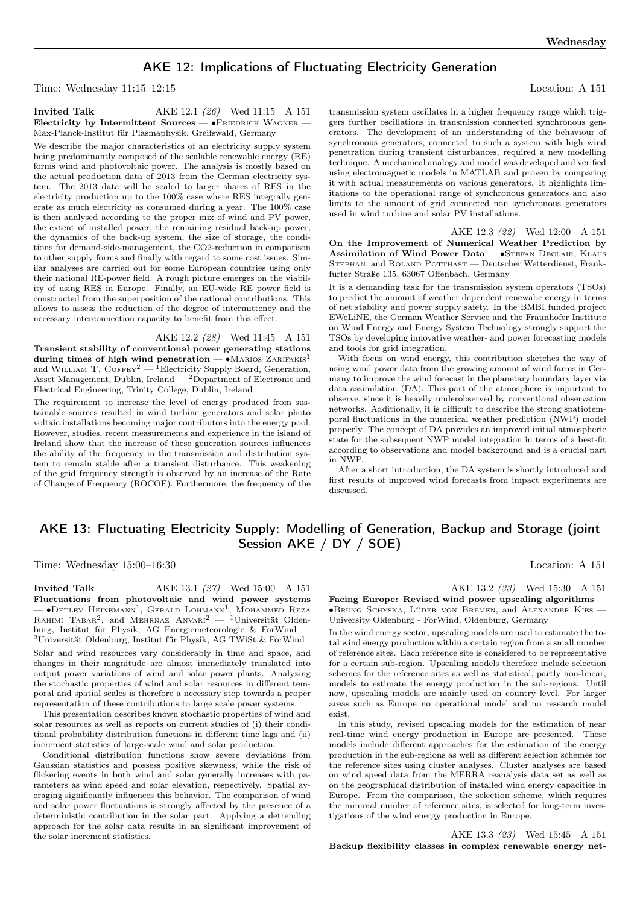# AKE 12: Implications of Fluctuating Electricity Generation

Time: Wednesday 11:15–12:15 Location: A 151

**Invited Talk** AKE 12.1 (26) Wed 11:15 A 151 Electricity by Intermittent Sources — •FRIEDRICH WAGNER -Max-Planck-Institut für Plasmaphysik, Greifswald, Germany

We describe the major characteristics of an electricity supply system being predominantly composed of the scalable renewable energy (RE) forms wind and photovoltaic power. The analysis is mostly based on the actual production data of 2013 from the German electricity system. The 2013 data will be scaled to larger shares of RES in the electricity production up to the 100% case where RES integrally generate as much electricity as consumed during a year. The 100% case is then analysed according to the proper mix of wind and PV power, the extent of installed power, the remaining residual back-up power, the dynamics of the back-up system, the size of storage, the conditions for demand-side-management, the CO2-reduction in comparison to other supply forms and finally with regard to some cost issues. Similar analyses are carried out for some European countries using only their national RE-power field. A rough picture emerges on the viability of using RES in Europe. Finally, an EU-wide RE power field is constructed from the superposition of the national contributions. This allows to assess the reduction of the degree of intermittency and the necessary interconnection capacity to benefit from this effect.

AKE 12.2 (28) Wed 11:45 A 151 Transient stability of conventional power generating stations during times of high wind penetration — • MARIOS ZARIFAKIS<sup>1</sup> and WILLIAM T. COFFEY<sup>2</sup> — <sup>1</sup>Electricity Supply Board, Generation, Asset Management, Dublin, Ireland  $-$  2Department of Electronic and Electrical Engineering, Trinity College, Dublin, Ireland

The requirement to increase the level of energy produced from sustainable sources resulted in wind turbine generators and solar photo voltaic installations becoming major contributors into the energy pool. However, studies, recent measurements and experience in the island of Ireland show that the increase of these generation sources influences the ability of the frequency in the transmission and distribution system to remain stable after a transient disturbance. This weakening of the grid frequency strength is observed by an increase of the Rate of Change of Frequency (ROCOF). Furthermore, the frequency of the transmission system oscillates in a higher frequency range which triggers further oscillations in transmission connected synchronous generators. The development of an understanding of the behaviour of synchronous generators, connected to such a system with high wind penetration during transient disturbances, required a new modelling technique. A mechanical analogy and model was developed and verified using electromagnetic models in MATLAB and proven by comparing it with actual measurements on various generators. It highlights limitations to the operational range of synchronous generators and also limits to the amount of grid connected non synchronous generators used in wind turbine and solar PV installations.

AKE 12.3 (22) Wed 12:00 A 151 On the Improvement of Numerical Weather Prediction by Assimilation of Wind Power Data — •STEFAN DECLAIR, KLAUS STEPHAN, and ROLAND POTTHAST — Deutscher Wetterdienst, Frankfurter Straße 135, 63067 Offenbach, Germany

It is a demanding task for the transmission system operators (TSOs) to predict the amount of weather dependent renewabe energy in terms of net stability and power supply safety. In the BMBI funded project EWeLiNE, the German Weather Service and the Fraunhofer Institute on Wind Energy and Energy System Technology strongly support the TSOs by developing innovative weather- and power forecasting models and tools for grid integration.

With focus on wind energy, this contribution sketches the way of using wind power data from the growing amount of wind farms in Germany to improve the wind forecast in the planetary boundary layer via data assimilation (DA). This part of the atmosphere is important to observe, since it is heavily underobserved by conventional observation networks. Additionally, it is difficult to describe the strong spatiotemporal fluctuations in the numerical weather prediction (NWP) model properly. The concept of DA provides an improved initial atmospheric state for the subsequent NWP model integration in terms of a best-fit according to observations and model background and is a crucial part in NWP.

After a short introduction, the DA system is shortly introduced and first results of improved wind forecasts from impact experiments are discussed.

# AKE 13: Fluctuating Electricity Supply: Modelling of Generation, Backup and Storage (joint Session AKE / DY / SOE)

Time: Wednesday 15:00–16:30 Location: A 151

**Invited Talk** AKE 13.1 (27) Wed 15:00 A 151 Fluctuations from photovoltaic and wind power systems — •Detlev Heinemann<sup>1</sup>, Gerald Lohmann<sup>1</sup>, Монаммеd Reza<br>Rанімі Таваr<sup>2</sup>, and Mehrnaz Anvari<sup>2</sup> — <sup>1</sup>Universität Oldenburg, Institut für Physik, AG Energiemeteorologie & ForWind —  $^2$ Universität Oldenburg, Institut für Physik, AG TWiSt  $\&$  ForWind

Solar and wind resources vary considerably in time and space, and changes in their magnitude are almost immediately translated into output power variations of wind and solar power plants. Analyzing the stochastic properties of wind and solar resources in different temporal and spatial scales is therefore a necessary step towards a proper representation of these contributions to large scale power systems.

This presentation describes known stochastic properties of wind and solar resources as well as reports on current studies of (i) their conditional probability distribution functions in different time lags and (ii) increment statistics of large-scale wind and solar production.

Conditional distribution functions show severe deviations from Gaussian statistics and possess positive skewness, while the risk of flickering events in both wind and solar generally increases with parameters as wind speed and solar elevation, respectively. Spatial averaging significantly influences this behavior. The comparison of wind and solar power fluctuations is strongly affected by the presence of a deterministic contribution in the solar part. Applying a detrending approach for the solar data results in an significant improvement of the solar increment statistics.

AKE 13.2 (33) Wed 15:30 A 151

Facing Europe: Revised wind power upscaling algorithms -∙Bruno Schyska, Lüder von Bremen, and Alexander Kies — University Oldenburg - ForWind, Oldenburg, Germany

In the wind energy sector, upscaling models are used to estimate the total wind energy production within a certain region from a small number of reference sites. Each reference site is considered to be representative for a certain sub-region. Upscaling models therefore include selection schemes for the reference sites as well as statistical, partly non-linear, models to estimate the energy production in the sub-regions. Until now, upscaling models are mainly used on country level. For larger areas such as Europe no operational model and no research model exist.

In this study, revised upscaling models for the estimation of near real-time wind energy production in Europe are presented. These models include different approaches for the estimation of the energy production in the sub-regions as well as different selection schemes for the reference sites using cluster analyses. Cluster analyses are based on wind speed data from the MERRA reanalysis data set as well as on the geographical distribution of installed wind energy capacities in Europe. From the comparison, the selection scheme, which requires the minimal number of reference sites, is selected for long-term investigations of the wind energy production in Europe.

AKE 13.3 (23) Wed 15:45 A 151 Backup flexibility classes in complex renewable energy net-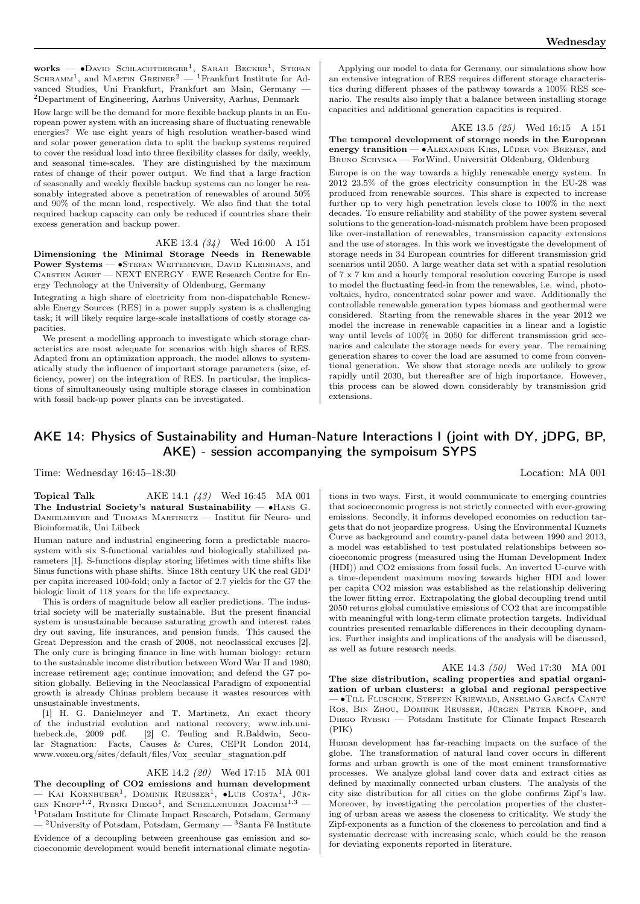**works** — •David Schlachtberger<sup>1</sup>, Sarah Becker<sup>1</sup>, Stefan<br>Schramm<sup>1</sup>, and Martin Greiner<sup>2</sup> — <sup>1</sup>Frankfurt Institute for Advanced Studies, Uni Frankfurt, Frankfurt am Main, Germany — <sup>2</sup>Department of Engineering, Aarhus University, Aarhus, Denmark

How large will be the demand for more flexible backup plants in an European power system with an increasing share of fluctuating renewable energies? We use eight years of high resolution weather-based wind and solar power generation data to split the backup systems required to cover the residual load into three flexibility classes for daily, weekly, and seasonal time-scales. They are distinguished by the maximum rates of change of their power output. We find that a large fraction of seasonally and weekly flexible backup systems can no longer be reasonably integrated above a penetration of renewables of around 50% and 90% of the mean load, respectively. We also find that the total required backup capacity can only be reduced if countries share their excess generation and backup power.

AKE 13.4 (34) Wed 16:00 A 151 Dimensioning the Minimal Storage Needs in Renewable Power Systems — •STEFAN WEITEMEYER, DAVID KLEINHANS, and Carsten Agert — NEXT ENERGY · EWE Research Centre for Energy Technology at the University of Oldenburg, Germany

Integrating a high share of electricity from non-dispatchable Renewable Energy Sources (RES) in a power supply system is a challenging task; it will likely require large-scale installations of costly storage capacities.

We present a modelling approach to investigate which storage characteristics are most adequate for scenarios with high shares of RES. Adapted from an optimization approach, the model allows to systematically study the influence of important storage parameters (size, efficiency, power) on the integration of RES. In particular, the implications of simultaneously using multiple storage classes in combination with fossil back-up power plants can be investigated.

Applying our model to data for Germany, our simulations show how an extensive integration of RES requires different storage characteristics during different phases of the pathway towards a 100% RES scenario. The results also imply that a balance between installing storage capacities and additional generation capacities is required.

AKE 13.5 (25) Wed 16:15 A 151 The temporal development of storage needs in the European energy transition — • ALEXANDER KIES, LÜDER VON BREMEN, and BRUNO SCHYSKA — ForWind, Universität Oldenburg, Oldenburg

Europe is on the way towards a highly renewable energy system. In 2012 23.5% of the gross electricity consumption in the EU-28 was produced from renewable sources. This share is expected to increase further up to very high penetration levels close to 100% in the next decades. To ensure reliability and stability of the power system several solutions to the generation-load-mismatch problem have been proposed like over-installation of renewables, transmission capacity extensions and the use of storages. In this work we investigate the development of storage needs in 34 European countries for different transmission grid scenarios until 2050. A large weather data set with a spatial resolution of 7 x 7 km and a hourly temporal resolution covering Europe is used to model the fluctuating feed-in from the renewables, i.e. wind, photovoltaics, hydro, concentrated solar power and wave. Additionally the controllable renewable generation types biomass and geothermal were considered. Starting from the renewable shares in the year 2012 we model the increase in renewable capacities in a linear and a logistic way until levels of 100% in 2050 for different transmission grid scenarios and calculate the storage needs for every year. The remaining generation shares to cover the load are assumed to come from conventional generation. We show that storage needs are unlikely to grow rapidly until 2030, but thereafter are of high importance. However, this process can be slowed down considerably by transmission grid extensions.

# AKE 14: Physics of Sustainability and Human-Nature Interactions I (joint with DY, jDPG, BP, AKE) - session accompanying the sympoisum SYPS

Time: Wednesday 16:45–18:30 Location: MA 001

#### **Topical Talk**  $AKE 14.1 (43)$  Wed 16:45 MA 001 The Industrial Society's natural Sustainability — ∙Hans G. DANIELMEYER and THOMAS MARTINETZ - Institut für Neuro- und Bioinformatik, Uni Lübeck

Human nature and industrial engineering form a predictable macrosystem with six S-functional variables and biologically stabilized parameters [1]. S-functions display storing lifetimes with time shifts like Sinus functions with phase shifts. Since 18th century UK the real GDP per capita increased 100-fold; only a factor of 2.7 yields for the G7 the biologic limit of 118 years for the life expectancy.

This is orders of magnitude below all earlier predictions. The industrial society will be materially sustainable. But the present financial system is unsustainable because saturating growth and interest rates dry out saving, life insurances, and pension funds. This caused the Great Depression and the crash of 2008, not neoclassical excuses [2]. The only cure is bringing finance in line with human biology: return to the sustainable income distribution between Word War II and 1980; increase retirement age; continue innovation; and defend the G7 position globally. Believing in the Neoclassical Paradigm of exponential growth is already Chinas problem because it wastes resources with unsustainable investments.

[1] H. G. Danielmeyer and T. Martinetz, An exact theory of the industrial evolution and national recovery, www.inb.uniluebeck.de, 2009 pdf. [2] C. Teuling and R.Baldwin, Secular Stagnation: Facts, Causes & Cures, CEPR London 2014, www.voxeu.org/sites/default/files/Vox\_secular\_stagnation.pdf

AKE 14.2 (20) Wed 17:15 MA 001

The decoupling of CO2 emissions and human development — Каі Коrnhuber<sup>1</sup>, Dominik Reusser<sup>1</sup>, •Luis Costa<sup>1</sup>, Jür-GEN KROPP<sup>1,2</sup>, RYBSKI DIEGO<sup>1</sup>, and SCHELLNHUBER JOACHIM<sup>1,3</sup> — <sup>1</sup>Potsdam Institute for Climate Impact Research, Potsdam, Germany  $-$  <sup>2</sup>University of Potsdam, Potsdam, Germany  $-$  <sup>3</sup>Santa Fé Institute

Evidence of a decoupling between greenhouse gas emission and socioeconomic development would benefit international climate negotia-

tions in two ways. First, it would communicate to emerging countries that socioeconomic progress is not strictly connected with ever-growing emissions. Secondly, it informs developed economies on reduction targets that do not jeopardize progress. Using the Environmental Kuznets Curve as background and country-panel data between 1990 and 2013, a model was established to test postulated relationships between socioeconomic progress (measured using the Human Development Index (HDI)) and CO2 emissions from fossil fuels. An inverted U-curve with a time-dependent maximum moving towards higher HDI and lower per capita CO2 mission was established as the relationship delivering the lower fitting error. Extrapolating the global decoupling trend until 2050 returns global cumulative emissions of CO2 that are incompatible with meaningful with long-term climate protection targets. Individual countries presented remarkable differences in their decoupling dynamics. Further insights and implications of the analysis will be discussed, as well as future research needs.

AKE 14.3 (50) Wed 17:30 MA 001 The size distribution, scaling properties and spatial organization of urban clusters: a global and regional perspective — ∙Till Fluschnik, Steffen Kriewald, Anselmo García Cantú Ros, Bin Zhou, Dominik Reusser, Jürgen Peter Kropp, and Diego Rybski — Potsdam Institute for Climate Impact Research (PIK)

Human development has far-reaching impacts on the surface of the globe. The transformation of natural land cover occurs in different forms and urban growth is one of the most eminent transformative processes. We analyze global land cover data and extract cities as defined by maximally connected urban clusters. The analysis of the city size distribution for all cities on the globe confirms Zipf's law. Moreover, by investigating the percolation properties of the clustering of urban areas we assess the closeness to criticality. We study the Zipf-exponents as a function of the closeness to percolation and find a systematic decrease with increasing scale, which could be the reason for deviating exponents reported in literature.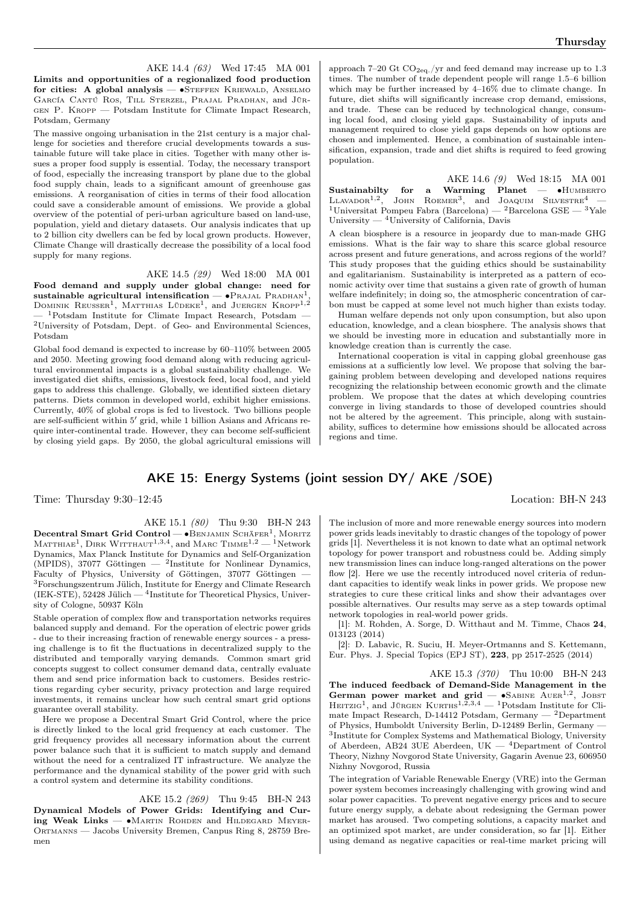AKE 14.4 (63) Wed 17:45 MA 001 Limits and opportunities of a regionalized food production for cities: A global analysis — •STEFFEN KRIEWALD, ANSELMO García Cantú Ros, Till Sterzel, Prajal Pradhan, and Jürgen P. Kropp — Potsdam Institute for Climate Impact Research, Potsdam, Germany

The massive ongoing urbanisation in the 21st century is a major challenge for societies and therefore crucial developments towards a sustainable future will take place in cities. Together with many other issues a proper food supply is essential. Today, the necessary transport of food, especially the increasing transport by plane due to the global food supply chain, leads to a significant amount of greenhouse gas emissions. A reorganisation of cities in terms of their food allocation could save a considerable amount of emissions. We provide a global overview of the potential of peri-urban agriculture based on land-use, population, yield and dietary datasets. Our analysis indicates that up to 2 billion city dwellers can be fed by local grown products. However, Climate Change will drastically decrease the possibility of a local food supply for many regions.

AKE 14.5 (29) Wed 18:00 MA 001

Food demand and supply under global change: need for sustainable agricultural intensification —  $\bullet$ PRAJAL PRADHAN<sup>1</sup> sustainable agricultural intensification —  $\bullet$ Prajal Pradhan<sup>1</sup>,<br>Dominik Reusser<sup>1</sup>, Matthias Lüdeke<sup>1</sup>, and Juergen Kropp<sup>1,2</sup>  $1$ Potsdam Institute for Climate Impact Research, Potsdam — <sup>2</sup>University of Potsdam, Dept. of Geo- and Environmental Sciences, Potsdam

Global food demand is expected to increase by 60–110% between 2005 and 2050. Meeting growing food demand along with reducing agricultural environmental impacts is a global sustainability challenge. We investigated diet shifts, emissions, livestock feed, local food, and yield gaps to address this challenge. Globally, we identified sixteen dietary patterns. Diets common in developed world, exhibit higher emissions. Currently, 40% of global crops is fed to livestock. Two billions people are self-sufficient within 5 ′ grid, while 1 billion Asians and Africans require inter-continental trade. However, they can become self-sufficient by closing yield gaps. By 2050, the global agricultural emissions will approach 7–20 Gt  $CO<sub>2ea</sub>$ /yr and feed demand may increase up to 1.3 times. The number of trade dependent people will range 1.5–6 billion which may be further increased by 4–16% due to climate change. In future, diet shifts will significantly increase crop demand, emissions, and trade. These can be reduced by technological change, consuming local food, and closing yield gaps. Sustainability of inputs and management required to close yield gaps depends on how options are chosen and implemented. Hence, a combination of sustainable intensification, expansion, trade and diet shifts is required to feed growing population.

AKE 14.6 (9) Wed 18:15 MA 001 Sustainabilty for a Warming Planet — •HUMBERTO LLAVADOR<sup>1,2</sup>, JOHN ROEMER<sup>3</sup>, and JOAQUIM SILVESTRE<sup>4</sup> —  $1$ Universitat Pompeu Fabra (Barcelona) —  $2$ Barcelona GSE —  $3$ Yale University — <sup>4</sup>University of California, Davis

A clean biosphere is a resource in jeopardy due to man-made GHG emissions. What is the fair way to share this scarce global resource across present and future generations, and across regions of the world? This study proposes that the guiding ethics should be sustainability and egalitarianism. Sustainability is interpreted as a pattern of economic activity over time that sustains a given rate of growth of human welfare indefinitely; in doing so, the atmospheric concentration of carbon must be capped at some level not much higher than exists today.

Human welfare depends not only upon consumption, but also upon education, knowledge, and a clean biosphere. The analysis shows that we should be investing more in education and substantially more in knowledge creation than is currently the case.

International cooperation is vital in capping global greenhouse gas emissions at a sufficiently low level. We propose that solving the bargaining problem between developing and developed nations requires recognizing the relationship between economic growth and the climate problem. We propose that the dates at which developing countries converge in living standards to those of developed countries should not be altered by the agreement. This principle, along with sustainability, suffices to determine how emissions should be allocated across regions and time.

## AKE 15: Energy Systems (joint session DY/ AKE /SOE)

Time: Thursday 9:30–12:45 Location: BH-N 243

AKE 15.1 (80) Thu 9:30 BH-N 243 Decentral Smart Grid Control — ∙Benjamin Schäfer<sup>1</sup> , Moritz  $M$ ATTHIAE<sup>1</sup>, DIRK  $W$ ITTHAUT<sup>1,3,4</sup>, and MARC  $T$ IMME<sup>1,2</sup> — <sup>1</sup>Network Dynamics, Max Planck Institute for Dynamics and Self-Organization (MPIDS), 37077 Göttingen  $-$  <sup>2</sup>Institute for Nonlinear Dynamics, Faculty of Physics, University of Göttingen, 37077 Göttingen — <sup>3</sup>Forschungszentrum Jülich, Institute for Energy and Climate Research (IEK-STE),  $52428$  Jülich  $-$  <sup>4</sup>Institute for Theoretical Physics, University of Cologne, 50937 Köln

Stable operation of complex flow and transportation networks requires balanced supply and demand. For the operation of electric power grids - due to their increasing fraction of renewable energy sources - a pressing challenge is to fit the fluctuations in decentralized supply to the distributed and temporally varying demands. Common smart grid concepts suggest to collect consumer demand data, centrally evaluate them and send price information back to customers. Besides restrictions regarding cyber security, privacy protection and large required investments, it remains unclear how such central smart grid options guarantee overall stability.

Here we propose a Decentral Smart Grid Control, where the price is directly linked to the local grid frequency at each customer. The grid frequency provides all necessary information about the current power balance such that it is sufficient to match supply and demand without the need for a centralized IT infrastructure. We analyze the performance and the dynamical stability of the power grid with such a control system and determine its stability conditions.

AKE 15.2 (269) Thu 9:45 BH-N 243

Dynamical Models of Power Grids: Identifying and Curing Weak Links — ∙Martin Rohden and Hildegard Meyer-ORTMANNS — Jacobs University Bremen, Canpus Ring 8, 28759 Bremen

The inclusion of more and more renewable energy sources into modern power grids leads inevitably to drastic changes of the topology of power grids [1]. Nevertheless it is not known to date what an optimal network topology for power transport and robustness could be. Adding simply new transmission lines can induce long-ranged alterations on the power flow [2]. Here we use the recently introduced novel criteria of redundant capacities to identify weak links in power grids. We propose new strategies to cure these critical links and show their advantages over possible alternatives. Our results may serve as a step towards optimal network topologies in real-world power grids.

[1]: M. Rohden, A. Sorge, D. Witthaut and M. Timme, Chaos 24, 013123 (2014)

[2]: D. Labavic, R. Suciu, H. Meyer-Ortmanns and S. Kettemann, Eur. Phys. J. Special Topics (EPJ ST), 223, pp 2517-2525 (2014)

AKE 15.3 (370) Thu 10:00 BH-N 243 The induced feedback of Demand-Side Management in the German power market and grid — •SABINE AUER<sup>1,2</sup>, JOBST HEITZIG<sup>1</sup>, and JÜRGEN KURTHS<sup>1,2,3,4</sup> — <sup>1</sup>Potsdam Institute for Climate Impact Research, D-14412 Potsdam, Germany — <sup>2</sup>Department of Physics, Humboldt University Berlin, D-12489 Berlin, Germany — 3 Institute for Complex Systems and Mathematical Biology, University of Aberdeen, AB24 3UE Aberdeen, UK — <sup>4</sup>Department of Control Theory, Nizhny Novgorod State University, Gagarin Avenue 23, 606950 Nizhny Novgorod, Russia

The integration of Variable Renewable Energy (VRE) into the German power system becomes increasingly challenging with growing wind and solar power capacities. To prevent negative energy prices and to secure future energy supply, a debate about redesigning the German power market has aroused. Two competing solutions, a capacity market and an optimized spot market, are under consideration, so far [1]. Either using demand as negative capacities or real-time market pricing will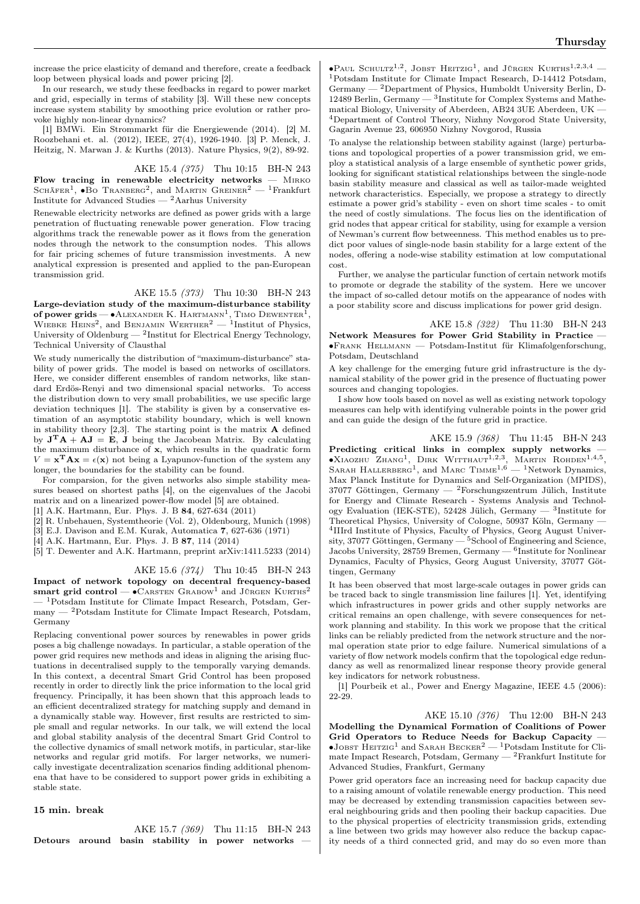increase the price elasticity of demand and therefore, create a feedback loop between physical loads and power pricing [2].

In our research, we study these feedbacks in regard to power market and grid, especially in terms of stability [3]. Will these new concepts increase system stability by smoothing price evolution or rather provoke highly non-linear dynamics?

[1] BMWi. Ein Strommarkt für die Energiewende (2014). [2] M. Roozbehani et. al. (2012), IEEE, 27(4), 1926-1940. [3] P. Menck, J. Heitzig, N. Marwan J. & Kurths (2013). Nature Physics, 9(2), 89-92.

AKE 15.4 (375) Thu 10:15 BH-N 243

Flow tracing in renewable electricity networks  $-$  MIRKO SCHÄFER<sup>1</sup>,  $\bullet$ Bo Tranberg<sup>2</sup>, and Martin Greiner<sup>2</sup> — <sup>1</sup>Frankfurt Institute for Advanced Studies — <sup>2</sup>Aarhus University

Renewable electricity networks are defined as power grids with a large penetration of fluctuating renewable power generation. Flow tracing algorithms track the renewable power as it flows from the generation nodes through the network to the consumption nodes. This allows for fair pricing schemes of future transmission investments. A new analytical expression is presented and applied to the pan-European transmission grid.

#### AKE 15.5 (373) Thu 10:30 BH-N 243

Large-deviation study of the maximum-disturbance stability of power grids —  $\bullet$  Alexander K. Hartmann<sup>1</sup>, Timo Dewenter<sup>1</sup>, WIEBKE HEINS<sup>2</sup>, and BENJAMIN WERTHER<sup>2</sup> — <sup>1</sup>Institut of Physics, University of Oldenburg —  $^2$ Institut for Electrical Energy Technology, Technical University of Clausthal

We study numerically the distribution of "maximum-disturbance" stability of power grids. The model is based on networks of oscillators. Here, we consider different ensembles of random networks, like standard Erdös-Renyi and two dimensional spacial networks. To access the distribution down to very small probabilities, we use specific large deviation techniques [1]. The stability is given by a conservative estimation of an asymptotic stability boundary, which is well known in stability theory  $[2,3]$ . The starting point is the matrix  $\bf{A}$  defined by  $J^T A + AJ = E$ , J being the Jacobean Matrix. By calculating the maximum disturbance of x, which results in the quadratic form  $V = \mathbf{x}^T \mathbf{A} \mathbf{x} = \epsilon(\mathbf{x})$  not being a Lyapunov-function of the system any longer, the boundaries for the stability can be found.

For comparsion, for the given networks also simple stability measures beased on shortest paths [4], on the eigenvalues of the Jacobi matrix and on a linearized power-flow model [5] are obtained.

[1] A.K. Hartmann, Eur. Phys. J. B 84, 627-634 (2011)

[2] R. Unbehauen, Systemtheorie (Vol. 2), Oldenbourg, Munich (1998)

[3] E.J. Davison and E.M. Kurak, Automatica 7, 627-636 (1971)

[4] A.K. Hartmann, Eur. Phys. J. B 87, 114 (2014)

[5] T. Dewenter and A.K. Hartmann, preprint arXiv:1411.5233 (2014)

#### AKE 15.6 (374) Thu 10:45 BH-N 243

Impact of network topology on decentral frequency-based smart grid control —  $\bullet$ CARSTEN GRABOW<sup>1</sup> and JÜRGEN KURTHS<sup>2</sup> — <sup>1</sup>Potsdam Institute for Climate Impact Research, Potsdam, Germany — <sup>2</sup>Potsdam Institute for Climate Impact Research, Potsdam, Germany

Replacing conventional power sources by renewables in power grids poses a big challenge nowadays. In particular, a stable operation of the power grid requires new methods and ideas in aligning the arising fluctuations in decentralised supply to the temporally varying demands. In this context, a decentral Smart Grid Control has been proposed recently in order to directly link the price information to the local grid frequency. Principally, it has been shown that this approach leads to an efficient decentralized strategy for matching supply and demand in a dynamically stable way. However, first results are restricted to simple small and regular networks. In our talk, we will extend the local and global stability analysis of the decentral Smart Grid Control to the collective dynamics of small network motifs, in particular, star-like networks and regular grid motifs. For larger networks, we numerically investigate decentralization scenarios finding additional phenomena that have to be considered to support power grids in exhibiting a stable state.

#### 15 min. break

AKE 15.7 (369) Thu 11:15 BH-N 243 Detours around basin stability in power networks

 $\bullet$ Paul Schultz<sup>1,2</sup>, Jobst Heitzig<sup>1</sup>, and Jürgen Kurths<sup>1,2,3,4</sup> – <sup>1</sup>Potsdam Institute for Climate Impact Research, D-14412 Potsdam, Germany — <sup>2</sup>Department of Physics, Humboldt University Berlin, D-12489 Berlin, Germany — <sup>3</sup> Institute for Complex Systems and Mathematical Biology, University of Aberdeen, AB24 3UE Aberdeen, UK — <sup>4</sup>Department of Control Theory, Nizhny Novgorod State University, Gagarin Avenue 23, 606950 Nizhny Novgorod, Russia

To analyse the relationship between stability against (large) perturbations and topological properties of a power transmission grid, we employ a statistical analysis of a large ensemble of synthetic power grids, looking for significant statistical relationships between the single-node basin stability measure and classical as well as tailor-made weighted network characteristics. Especially, we propose a strategy to directly estimate a power grid's stability - even on short time scales - to omit the need of costly simulations. The focus lies on the identification of grid nodes that appear critical for stability, using for example a version of Newman's current flow betweenness. This method enables us to predict poor values of single-node basin stability for a large extent of the nodes, offering a node-wise stability estimation at low computational cost.

Further, we analyse the particular function of certain network motifs to promote or degrade the stability of the system. Here we uncover the impact of so-called detour motifs on the appearance of nodes with a poor stability score and discuss implications for power grid design.

AKE 15.8 (322) Thu 11:30 BH-N 243 Network Measures for Power Grid Stability in Practice — ∙Frank Hellmann — Potsdam-Institut für Klimafolgenforschung, Potsdam, Deutschland

A key challenge for the emerging future grid infrastructure is the dynamical stability of the power grid in the presence of fluctuating power sources and changing topologies.

I show how tools based on novel as well as existing network topology measures can help with identifying vulnerable points in the power grid and can guide the design of the future grid in practice.

AKE 15.9 (368) Thu 11:45 BH-N 243 Predicting critical links in complex supply networks -∙Xiaozhu Zhang<sup>1</sup> , Dirk Witthaut1,2,<sup>3</sup> , Martin Rohden1,4,<sup>5</sup> , SARAH HALLERBERG<sup>1</sup>, and MARC TIMME<sup>1,6</sup> - <sup>1</sup>Network Dynamics, Max Planck Institute for Dynamics and Self-Organization (MPIDS), 37077 Göttingen, Germany —  $^2$ Forschungszentrum Jülich, Institute for Energy and Climate Research - Systems Analysis and Technology Evaluation (IEK-STE), 52428 Jülich, Germany —  $3$ Institute for Theoretical Physics, University of Cologne, 50937 Köln, Germany — 4 IIIrd Institute of Physics, Faculty of Physics, Georg August University, 37077 Göttingen, Germany — <sup>5</sup>School of Engineering and Science, Jacobs University, 28759 Bremen, Germany  $-$ <sup>6</sup>Institute for Nonlinear Dynamics, Faculty of Physics, Georg August University, 37077 Göttingen, Germany

It has been observed that most large-scale outages in power grids can be traced back to single transmission line failures [1]. Yet, identifying which infrastructures in power grids and other supply networks are critical remains an open challenge, with severe consequences for network planning and stability. In this work we propose that the critical links can be reliably predicted from the network structure and the normal operation state prior to edge failure. Numerical simulations of a variety of flow network models confirm that the topological edge redundancy as well as renormalized linear response theory provide general key indicators for network robustness.

[1] Pourbeik et al., Power and Energy Magazine, IEEE 4.5 (2006): 22-29.

AKE 15.10 (376) Thu 12:00 BH-N 243 Modelling the Dynamical Formation of Coalitions of Power Grid Operators to Reduce Needs for Backup Capacity —  $\bullet$ JOBST HEITZIG<sup>1</sup> and SARAH BECKER<sup>2</sup> — <sup>1</sup>Potsdam Institute for Climate Impact Research, Potsdam, Germany — <sup>2</sup>Frankfurt Institute for Advanced Studies, Frankfurt, Germany

Power grid operators face an increasing need for backup capacity due to a raising amount of volatile renewable energy production. This need may be decreased by extending transmission capacities between several neighbouring grids and then pooling their backup capacities. Due to the physical properties of electricity transmission grids, extending a line between two grids may however also reduce the backup capacity needs of a third connected grid, and may do so even more than